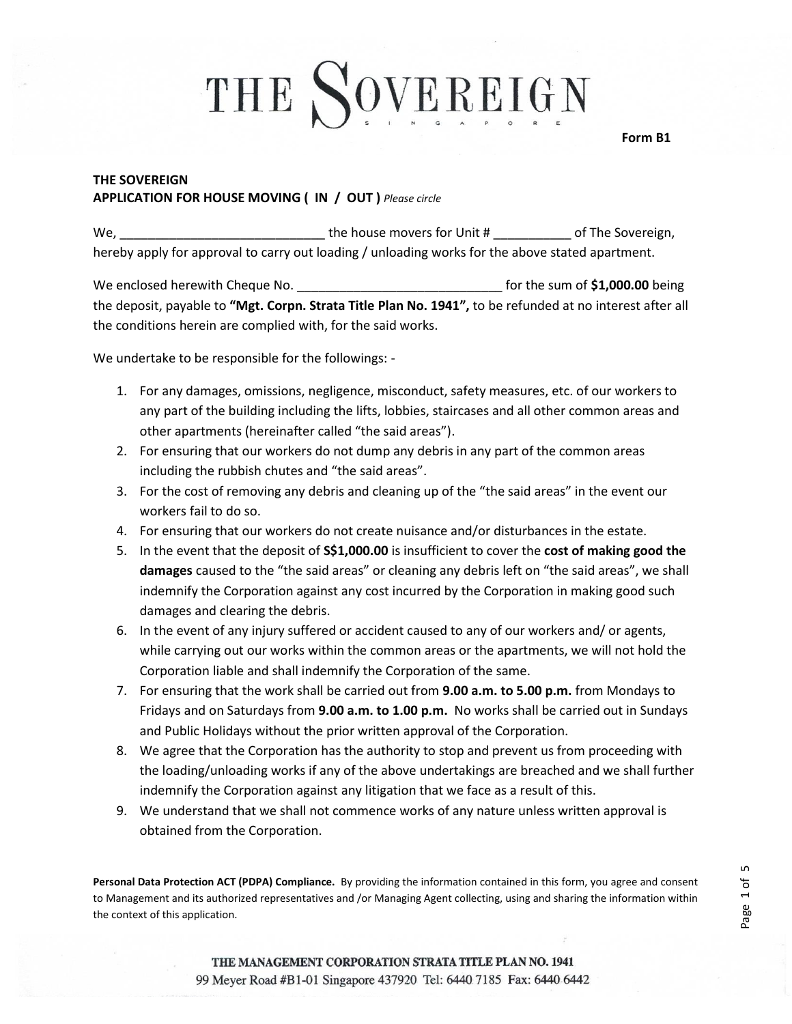**Form B1**

### **THE SOVEREIGN APPLICATION FOR HOUSE MOVING ( IN / OUT )** *Please circle*

We, \_\_\_\_\_\_\_\_\_\_\_\_\_\_\_\_\_\_\_\_\_\_\_\_\_\_\_\_\_ the house movers for Unit # \_\_\_\_\_\_\_\_\_\_\_ of The Sovereign, hereby apply for approval to carry out loading / unloading works for the above stated apartment.

We enclosed herewith Cheque No. \_\_\_\_\_\_\_\_\_\_\_\_\_\_\_\_\_\_\_\_\_\_\_\_\_\_\_\_\_ for the sum of **\$1,000.00** being the deposit, payable to **"Mgt. Corpn. Strata Title Plan No. 1941",** to be refunded at no interest after all the conditions herein are complied with, for the said works.

We undertake to be responsible for the followings: -

- 1. For any damages, omissions, negligence, misconduct, safety measures, etc. of our workers to any part of the building including the lifts, lobbies, staircases and all other common areas and other apartments (hereinafter called "the said areas").
- 2. For ensuring that our workers do not dump any debris in any part of the common areas including the rubbish chutes and "the said areas".
- 3. For the cost of removing any debris and cleaning up of the "the said areas" in the event our workers fail to do so.
- 4. For ensuring that our workers do not create nuisance and/or disturbances in the estate.
- 5. In the event that the deposit of **S\$1,000.00** is insufficient to cover the **cost of making good the damages** caused to the "the said areas" or cleaning any debris left on "the said areas", we shall indemnify the Corporation against any cost incurred by the Corporation in making good such damages and clearing the debris.
- 6. In the event of any injury suffered or accident caused to any of our workers and/ or agents, while carrying out our works within the common areas or the apartments, we will not hold the Corporation liable and shall indemnify the Corporation of the same.
- 7. For ensuring that the work shall be carried out from **9.00 a.m. to 5.00 p.m.** from Mondays to Fridays and on Saturdays from **9.00 a.m. to 1.00 p.m.** No works shall be carried out in Sundays and Public Holidays without the prior written approval of the Corporation.
- 8. We agree that the Corporation has the authority to stop and prevent us from proceeding with the loading/unloading works if any of the above undertakings are breached and we shall further indemnify the Corporation against any litigation that we face as a result of this.
- 9. We understand that we shall not commence works of any nature unless written approval is obtained from the Corporation.

**Personal Data Protection ACT (PDPA) Compliance.** By providing the information contained in this form, you agree and consent to Management and its authorized representatives and /or Managing Agent collecting, using and sharing the information within the context of this application.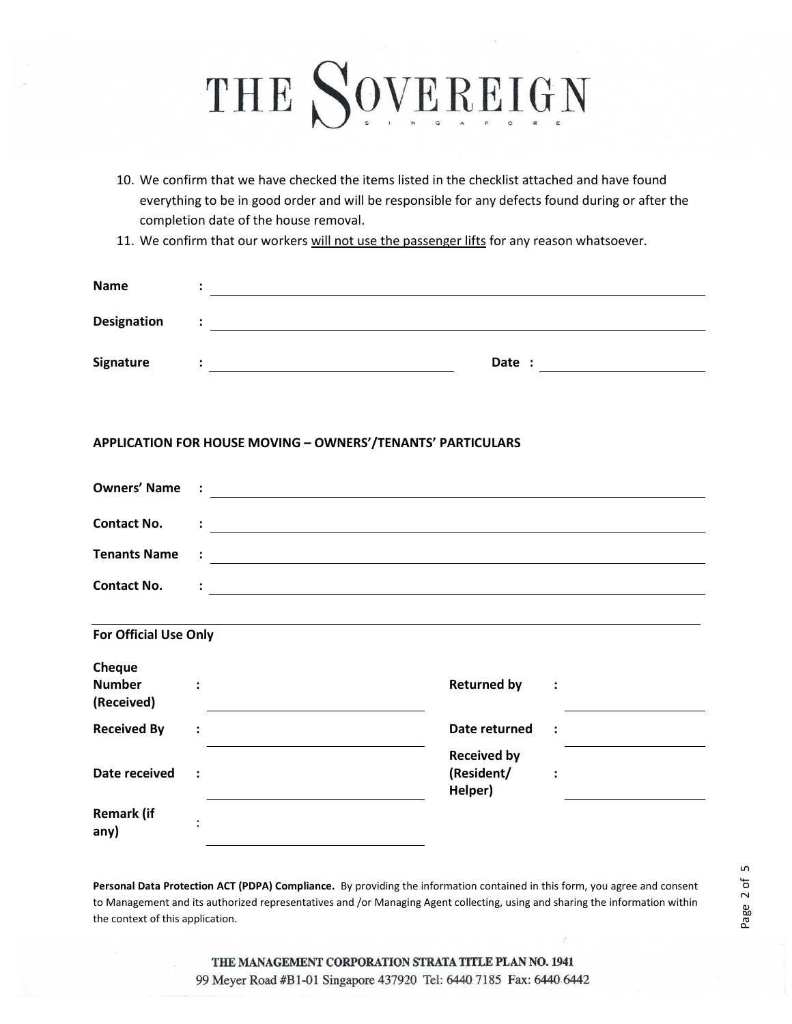- 10. We confirm that we have checked the items listed in the checklist attached and have found everything to be in good order and will be responsible for any defects found during or after the completion date of the house removal.
- 11. We confirm that our workers will not use the passenger lifts for any reason whatsoever.

| <b>Name</b> |  |        |  |
|-------------|--|--------|--|
| Designation |  |        |  |
| Signature   |  | Date : |  |

#### **APPLICATION FOR HOUSE MOVING – OWNERS'/TENANTS' PARTICULARS**

| <b>Contact No.</b>    | <u>and the companion of the companion of the companion of the companion of the companion of the companion of the companion of the companion of the companion of the companion of the companion of the companion of the companion</u> |  |  |
|-----------------------|--------------------------------------------------------------------------------------------------------------------------------------------------------------------------------------------------------------------------------------|--|--|
|                       |                                                                                                                                                                                                                                      |  |  |
| <b>Contact No.</b>    | <u> 1990 - Jan Barnett, fransk politiker (d. 1980)</u>                                                                                                                                                                               |  |  |
|                       |                                                                                                                                                                                                                                      |  |  |
| For Official Use Only |                                                                                                                                                                                                                                      |  |  |

| Cheque<br><b>Number</b><br>(Received) |                      | <b>Returned by</b>                          | $\ddot{\cdot}$       |  |
|---------------------------------------|----------------------|---------------------------------------------|----------------------|--|
| <b>Received By</b>                    | $\ddot{\cdot}$       | Date returned                               | $\ddot{\phantom{1}}$ |  |
| Date received                         | $\ddot{\phantom{1}}$ | <b>Received by</b><br>(Resident/<br>Helper) | $\ddot{\cdot}$       |  |
| <b>Remark (if</b><br>any)             | ٠                    |                                             |                      |  |

**Personal Data Protection ACT (PDPA) Compliance.** By providing the information contained in this form, you agree and consent to Management and its authorized representatives and /or Managing Agent collecting, using and sharing the information within the context of this application.

THE MANAGEMENT CORPORATION STRATA TITLE PLAN NO. 1941 99 Meyer Road #B1-01 Singapore 437920 Tel: 6440 7185 Fax: 6440 6442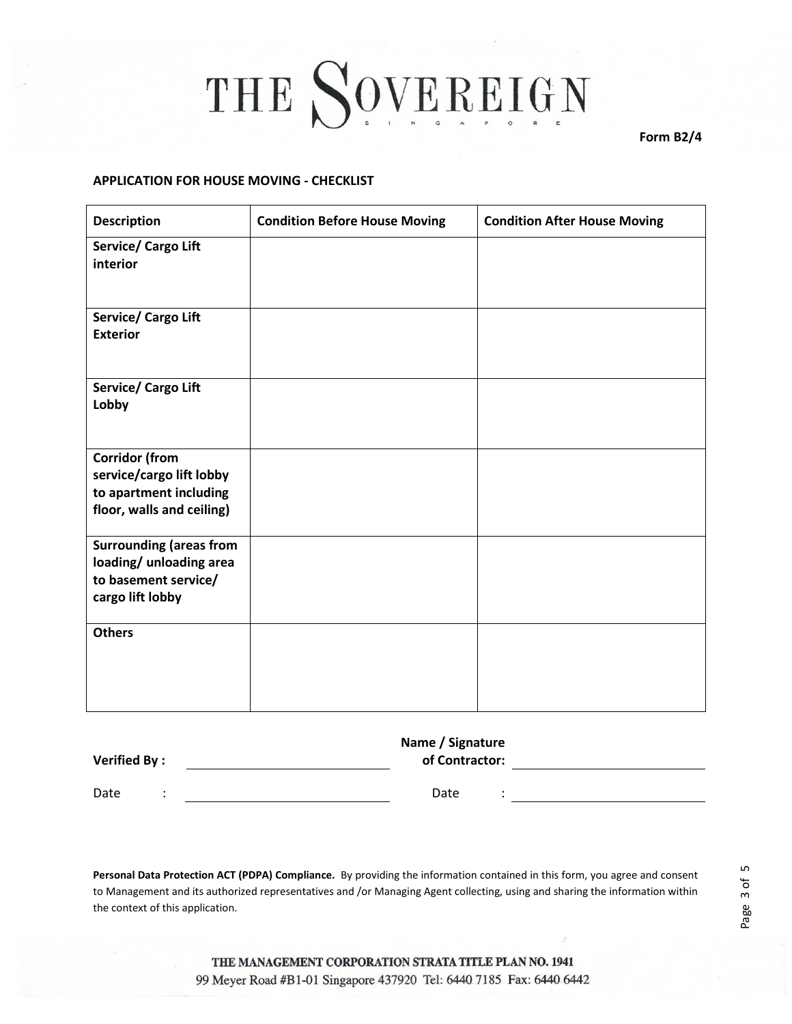**Form B2/4**

#### **APPLICATION FOR HOUSE MOVING - CHECKLIST**

| <b>Description</b>                                                                                       | <b>Condition Before House Moving</b> | <b>Condition After House Moving</b> |
|----------------------------------------------------------------------------------------------------------|--------------------------------------|-------------------------------------|
| Service/ Cargo Lift<br>interior                                                                          |                                      |                                     |
| Service/ Cargo Lift<br><b>Exterior</b>                                                                   |                                      |                                     |
| Service/ Cargo Lift<br>Lobby                                                                             |                                      |                                     |
| <b>Corridor (from</b><br>service/cargo lift lobby<br>to apartment including<br>floor, walls and ceiling) |                                      |                                     |
| <b>Surrounding (areas from</b><br>loading/ unloading area<br>to basement service/<br>cargo lift lobby    |                                      |                                     |
| <b>Others</b>                                                                                            |                                      |                                     |

| <b>Verified By:</b> |  | Name / Signature<br>of Contractor: |  |
|---------------------|--|------------------------------------|--|
| Date                |  | Date                               |  |

**Personal Data Protection ACT (PDPA) Compliance.** By providing the information contained in this form, you agree and consent to Management and its authorized representatives and /or Managing Agent collecting, using and sharing the information within the context of this application.

THE MANAGEMENT CORPORATION STRATA TITLE PLAN NO. 1941 99 Meyer Road #B1-01 Singapore 437920 Tel: 6440 7185 Fax: 6440 6442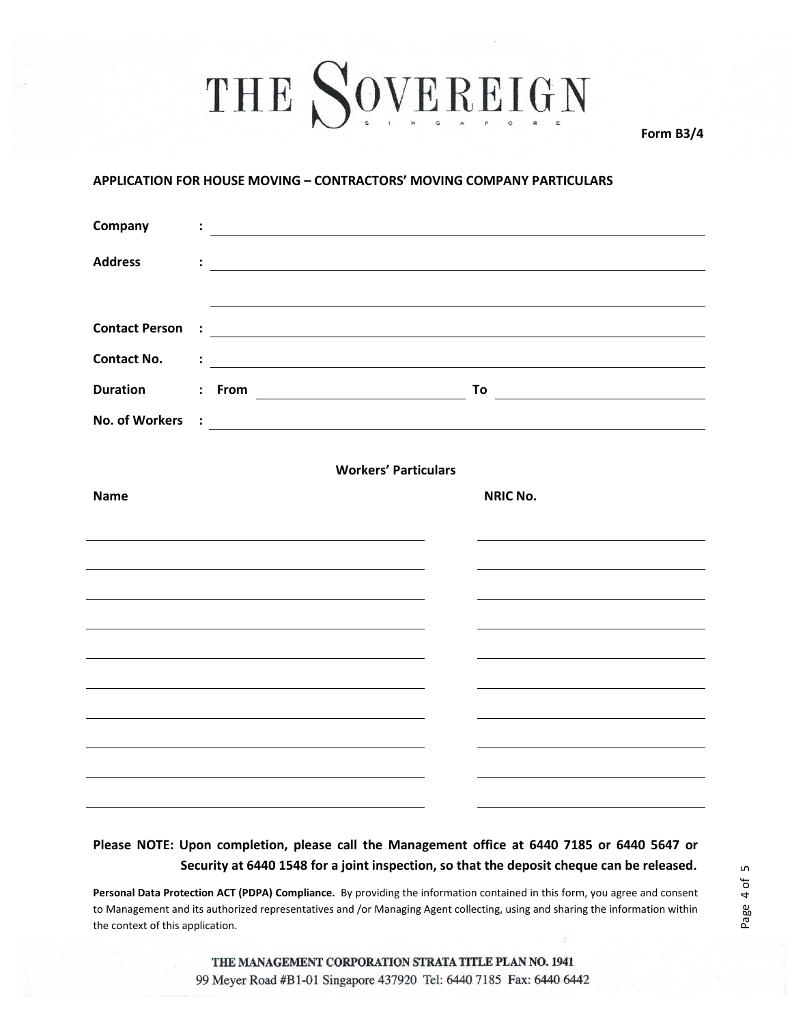**Form B3/4**

#### **APPLICATION FOR HOUSE MOVING – CONTRACTORS' MOVING COMPANY PARTICULARS**

| Company                     |                      |    | <u> 1980 - Johann Barn, mars ann an t-Amhain Aonaich an t-Aonaich an t-Aonaich ann an t-Aonaich ann an t-Aonaich</u> |  |  |                                                                                                                        |  |  |
|-----------------------------|----------------------|----|----------------------------------------------------------------------------------------------------------------------|--|--|------------------------------------------------------------------------------------------------------------------------|--|--|
| <b>Address</b>              | $\ddot{\cdot}$       |    |                                                                                                                      |  |  | <u> 1989 - Johann Stoff, deutscher Stoffen und der Stoffen und der Stoffen und der Stoffen und der Stoffen und der</u> |  |  |
|                             |                      |    |                                                                                                                      |  |  |                                                                                                                        |  |  |
| <b>Contact Person</b>       | $\ddot{\cdot}$       |    |                                                                                                                      |  |  | <u> Alexandria de la contrada de la contrada de la contrada de la contrada de la contrada de la contrada de la c</u>   |  |  |
| <b>Contact No.</b>          |                      |    |                                                                                                                      |  |  |                                                                                                                        |  |  |
| <b>Duration</b>             | $\ddot{\phantom{a}}$ | To |                                                                                                                      |  |  |                                                                                                                        |  |  |
| <b>No. of Workers</b>       |                      |    |                                                                                                                      |  |  |                                                                                                                        |  |  |
| <b>Workers' Particulars</b> |                      |    |                                                                                                                      |  |  |                                                                                                                        |  |  |
| <b>Name</b>                 |                      |    |                                                                                                                      |  |  | <b>NRIC No.</b>                                                                                                        |  |  |
|                             |                      |    |                                                                                                                      |  |  |                                                                                                                        |  |  |
|                             |                      |    |                                                                                                                      |  |  |                                                                                                                        |  |  |
|                             |                      |    |                                                                                                                      |  |  |                                                                                                                        |  |  |
|                             |                      |    |                                                                                                                      |  |  |                                                                                                                        |  |  |
|                             |                      |    |                                                                                                                      |  |  |                                                                                                                        |  |  |
|                             |                      |    |                                                                                                                      |  |  |                                                                                                                        |  |  |
|                             |                      |    |                                                                                                                      |  |  |                                                                                                                        |  |  |
|                             |                      |    |                                                                                                                      |  |  |                                                                                                                        |  |  |
|                             |                      |    |                                                                                                                      |  |  |                                                                                                                        |  |  |
|                             |                      |    |                                                                                                                      |  |  |                                                                                                                        |  |  |

### **Please NOTE: Upon completion, please call the Management office at 6440 7185 or 6440 5647 or Security at 6440 1548 for a joint inspection, so that the deposit cheque can be released.**

**Personal Data Protection ACT (PDPA) Compliance.** By providing the information contained in this form, you agree and consent to Management and its authorized representatives and /or Managing Agent collecting, using and sharing the information within the context of this application.

THE MANAGEMENT CORPORATION STRATA TITLE PLAN NO. 1941 99 Meyer Road #B1-01 Singapore 437920 Tel: 6440 7185 Fax: 6440 6442